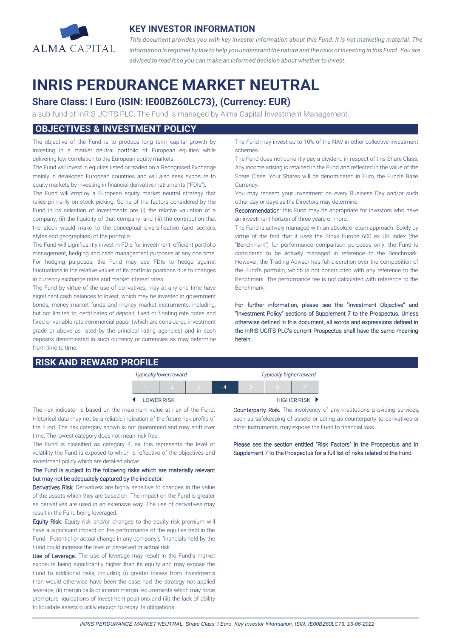

## **KEY INVESTOR INFORMATION**

*This document provides you with key investor information about this Fund. It is not marketing material. The* information is required by law to help you understand the nature and the risks of investing in this Fund. You are *advised to read it so you can make an informed decision about whether to invest.*

# **INRIS PERDURANCE MARKET NEUTRAL**

# **Share Class: I Euro (ISIN: IE00BZ60LC73), (Currency: EUR)**

a sub-fund of InRIS UCITS PLC. The Fund is managed by Alma Capital Investment Management.

## **OBJECTIVES & INVESTMENT POLICY**

The objective of the Fund is to produce long term capital growth by investing in a market neutral portfolio of European equities while delivering low correlation to the European equity markets.

The Fund will invest in equities listed or traded on a Recognised Exchange mainly in developed European countries and will also seek exposure to equity markets by investing in financial derivative instruments ("FDIs").

The Fund will employ a European equity market neutral strategy that relies primarily on stock picking. Some of the factors considered by the Fund in its selection of investments are (i) the relative valuation of a company, (ii) the liquidity of that company; and (iii) the contribution that the stock would make to the conceptual diversification (and sectors, styles and geographies) of the portfolio.

The Fund will significantly invest in FDIs for investment, efficient portfolio management, hedging and cash management purposes at any one time. For hedging purposes, the Fund may use FDIs to hedge against fluctuations in the relative values of its portfolio positions due to changes in currency exchange rates and market interest rates.

The Fund by virtue of the use of derivatives, may at any one time have significant cash balances to invest, which may be invested in government bonds, money market funds and money market instruments, including, but not limited to, certificates of deposit, fixed or floating rate notes and fixed or variable rate commercial paper (which are considered investment grade or above as rated by the principal rating agencies) and in cash deposits denominated in such currency or currencies as may determine from time to time.

# **RISK AND REWARD PROFILE**

The Fund may invest up to 10% of the NAV in other collective investment schemes.

The Fund does not currently pay a dividend in respect of this Share Class. Any income arising is retained in the Fund and reflected in the value of the Share Class. Your Shares will be denominated in Euro, the Fund's Base Currency.

You may redeem your investment on every Business Day and/or such other day or days as the Directors may determine.

Recommendation: this Fund may be appropriate for investors who have an investment horizon of three years or more.

The Fund is actively managed with an absolute return approach. Solely by virtue of the fact that it uses the Stoxx Europe 600 ex UK Index (the "Benchmark") for performance comparison purposes only, the Fund is considered to be actively managed in reference to the Benchmark. However, the Trading Advisor has full discretion over the composition of the Fund's portfolio, which is not constructed with any reference to the Benchmark. The performance fee is not calculated with reference to the Benchmark.

For further information, please see the "Investment Objective" and "Investment Policy" sections of Supplement 7 to the Prospectus. Unless otherwise defined in this document, all words and expressions defined in the InRIS UCITS PLC's current Prospectus shall have the same meaning herein.

| <b>Typically lower reward</b> |  |  |  | <b>Typically higher reward</b> |  |                    |
|-------------------------------|--|--|--|--------------------------------|--|--------------------|
|                               |  |  |  |                                |  |                    |
| <b>LOWER RISK</b>             |  |  |  |                                |  | <b>HIGHER RISK</b> |

The risk indicator is based on the maximum value at risk of the Fund. Historical data may not be a reliable indication of the future risk profile of the Fund. The risk category shown is not guaranteed and may shift over time. The lowest category does not mean 'risk free'.

The Fund is classified as category 4, as this represents the level of volatility the Fund is exposed to which is reflective of the objectives and investment policy which are detailed above.

#### The Fund is subject to the following risks which are materially relevant but may not be adequately captured by the indicator:

Derivatives Risk: Derivatives are highly sensitive to changes in the value of the assets which they are based on. The impact on the Fund is greater as derivatives are used in an extensive way. The use of derivatives may result in the Fund being leveraged.

Equity Risk: Equity risk and/or changes to the equity risk premium will have a significant impact on the performance of the equities held in the Fund. Potential or actual change in any company's financials held by the Fund could increase the level of perceived or actual risk.

Use of Leverage: The use of leverage may result in the Fund's market exposure being significantly higher than its equity and may expose the Fund to additional risks, including (i) greater losses from investments than would otherwise have been the case had the strategy not applied leverage, (ii) margin calls or interim margin requirements which may force premature liquidations of investment positions and (iii) the lack of ability to liquidate assets quickly enough to repay its obligations.

Counterparty Risk: The insolvency of any institutions providing services, such as safekeeping of assets or acting as counterparty to derivatives or other instruments, may expose the Fund to financial loss.

Please see the section entitled "Risk Factors" in the Prospectus and in Supplement 7 to the Prospectus for a full list of risks related to the Fund.